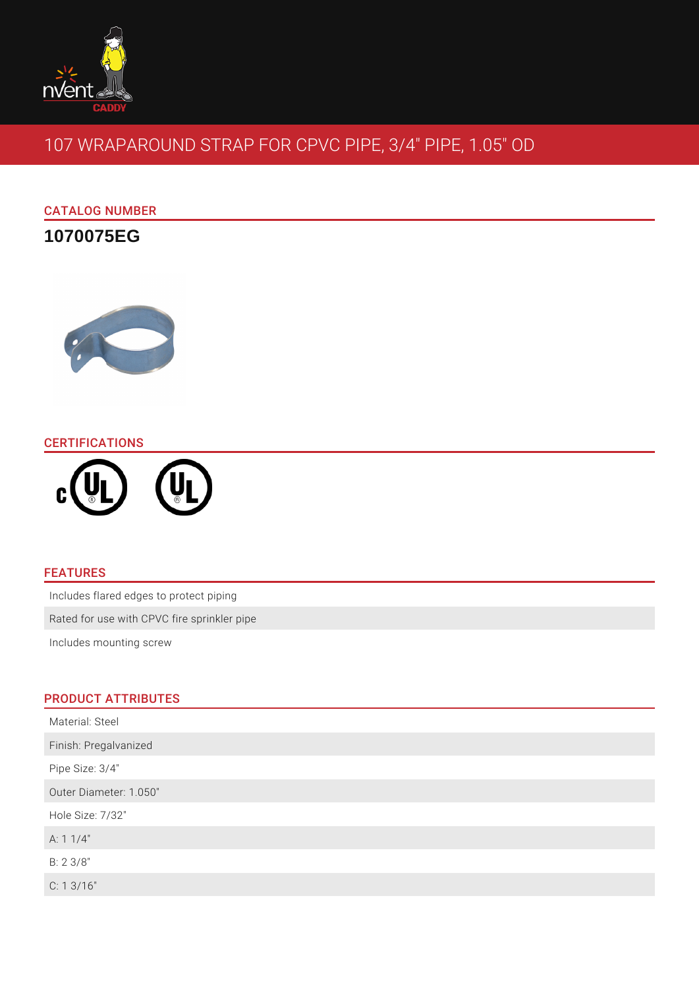

# 107 WRAPAROUND STRAP FOR CPVC PIPE, 3/4" PIPE, 1.05" OD

## CATALOG NUMBER

**1070075EG**



## **CERTIFICATIONS**



### FEATURES

Includes flared edges to protect piping

Rated for use with CPVC fire sprinkler pipe

Includes mounting screw

## PRODUCT ATTRIBUTES

| Material: Steel        |
|------------------------|
| Finish: Pregalvanized  |
| Pipe Size: 3/4"        |
| Outer Diameter: 1.050" |
| Hole Size: 7/32"       |
| A: $11/4"$             |
| B: 2 3/8"              |
| C: 13/16"              |